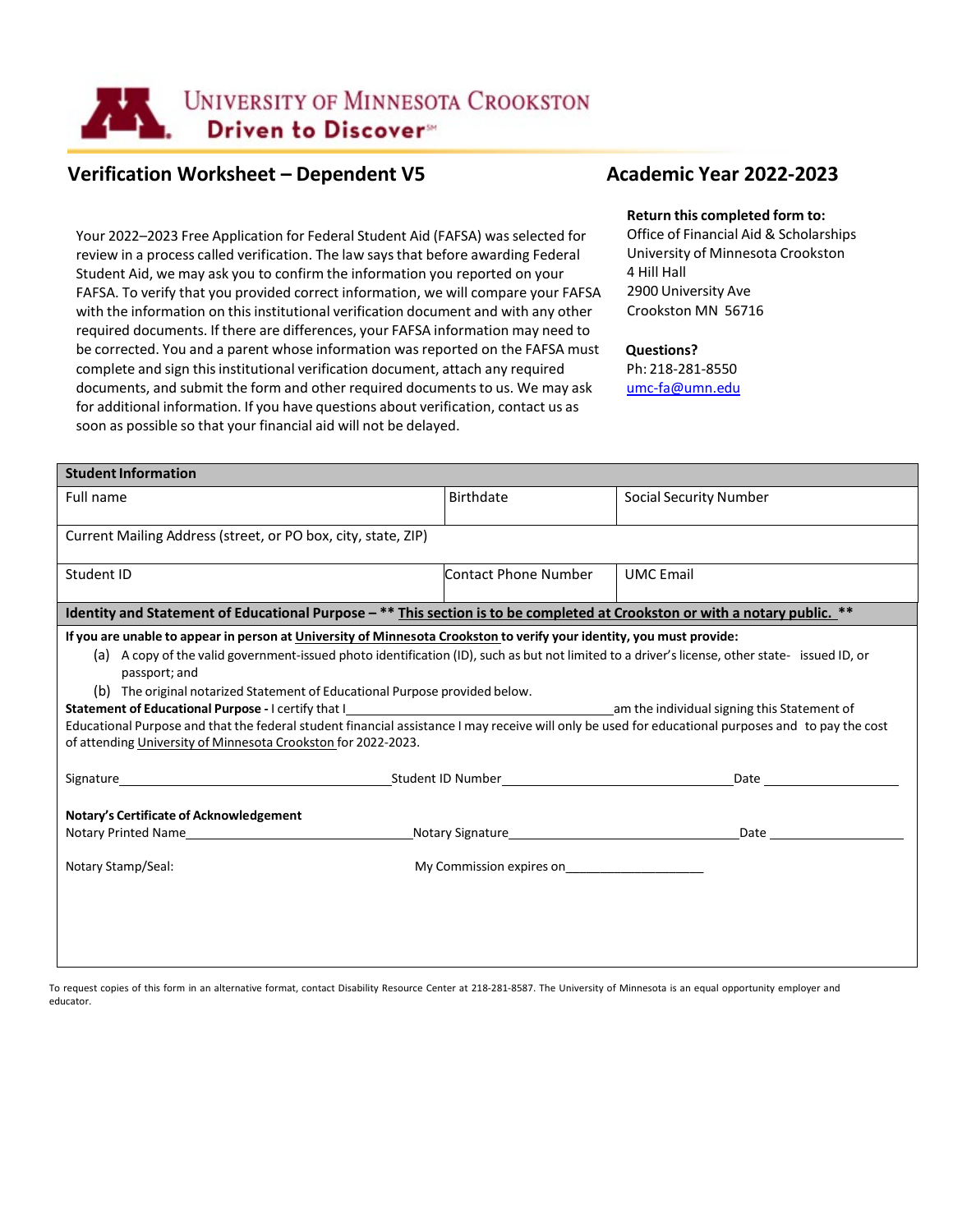

# Verification Worksheet – Dependent V5 **Academic Year 2022-2023**

Your 2022–2023 Free Application for Federal Student Aid (FAFSA) was selected for review in a process called verification. The law says that before awarding Federal Student Aid, we may ask you to confirm the information you reported on your FAFSA. To verify that you provided correct information, we will compare your FAFSA with the information on this institutional verification document and with any other required documents. If there are differences, your FAFSA information may need to be corrected. You and a parent whose information was reported on the FAFSA must complete and sign this institutional verification document, attach any required documents, and submit the form and other required documentsto us. We may ask for additional information. If you have questions about verification, contact us as soon as possible so that your financial aid will not be delayed.

## **Return this completed form to:**

Office of Financial Aid & Scholarships University of Minnesota Crookston 4 Hill Hall 2900 University Ave Crookston MN 56716

## **Questions?**

Ph: 218-281-8550 [umc-fa@umn.edu](mailto:umc-fa@umn.edu)

| <b>Student Information</b>                                                                                                                                      |                                                                                                               |                                             |  |  |
|-----------------------------------------------------------------------------------------------------------------------------------------------------------------|---------------------------------------------------------------------------------------------------------------|---------------------------------------------|--|--|
| Full name                                                                                                                                                       | <b>Birthdate</b>                                                                                              | <b>Social Security Number</b>               |  |  |
| Current Mailing Address (street, or PO box, city, state, ZIP)                                                                                                   |                                                                                                               |                                             |  |  |
| Student ID                                                                                                                                                      | <b>Contact Phone Number</b>                                                                                   | <b>UMC</b> Email                            |  |  |
| Identity and Statement of Educational Purpose - ** This section is to be completed at Crookston or with a notary public. **                                     |                                                                                                               |                                             |  |  |
| If you are unable to appear in person at University of Minnesota Crookston to verify your identity, you must provide:                                           |                                                                                                               |                                             |  |  |
| (a) A copy of the valid government-issued photo identification (ID), such as but not limited to a driver's license, other state- issued ID, or<br>passport; and |                                                                                                               |                                             |  |  |
| (b) The original notarized Statement of Educational Purpose provided below.                                                                                     |                                                                                                               |                                             |  |  |
| Statement of Educational Purpose - I certify that I                                                                                                             |                                                                                                               | am the individual signing this Statement of |  |  |
| Educational Purpose and that the federal student financial assistance I may receive will only be used for educational purposes and to pay the cost              |                                                                                                               |                                             |  |  |
| of attending University of Minnesota Crookston for 2022-2023.                                                                                                   |                                                                                                               |                                             |  |  |
|                                                                                                                                                                 | Date and the state of the state of the state of the state of the state of the state of the state of the state |                                             |  |  |
| Notary's Certificate of Acknowledgement                                                                                                                         |                                                                                                               |                                             |  |  |
| Notary Printed Name <b>Notary</b> Printed Name                                                                                                                  | Date and the state of the state of the state of the state of the state of the state of the state of the state |                                             |  |  |
| Notary Stamp/Seal:                                                                                                                                              | My Commission expires on                                                                                      |                                             |  |  |
|                                                                                                                                                                 |                                                                                                               |                                             |  |  |
|                                                                                                                                                                 |                                                                                                               |                                             |  |  |
|                                                                                                                                                                 |                                                                                                               |                                             |  |  |
|                                                                                                                                                                 |                                                                                                               |                                             |  |  |

To request copies of this form in an alternative format, contact Disability Resource Center at 218-281-8587. The University of Minnesota is an equal opportunity employer and educator.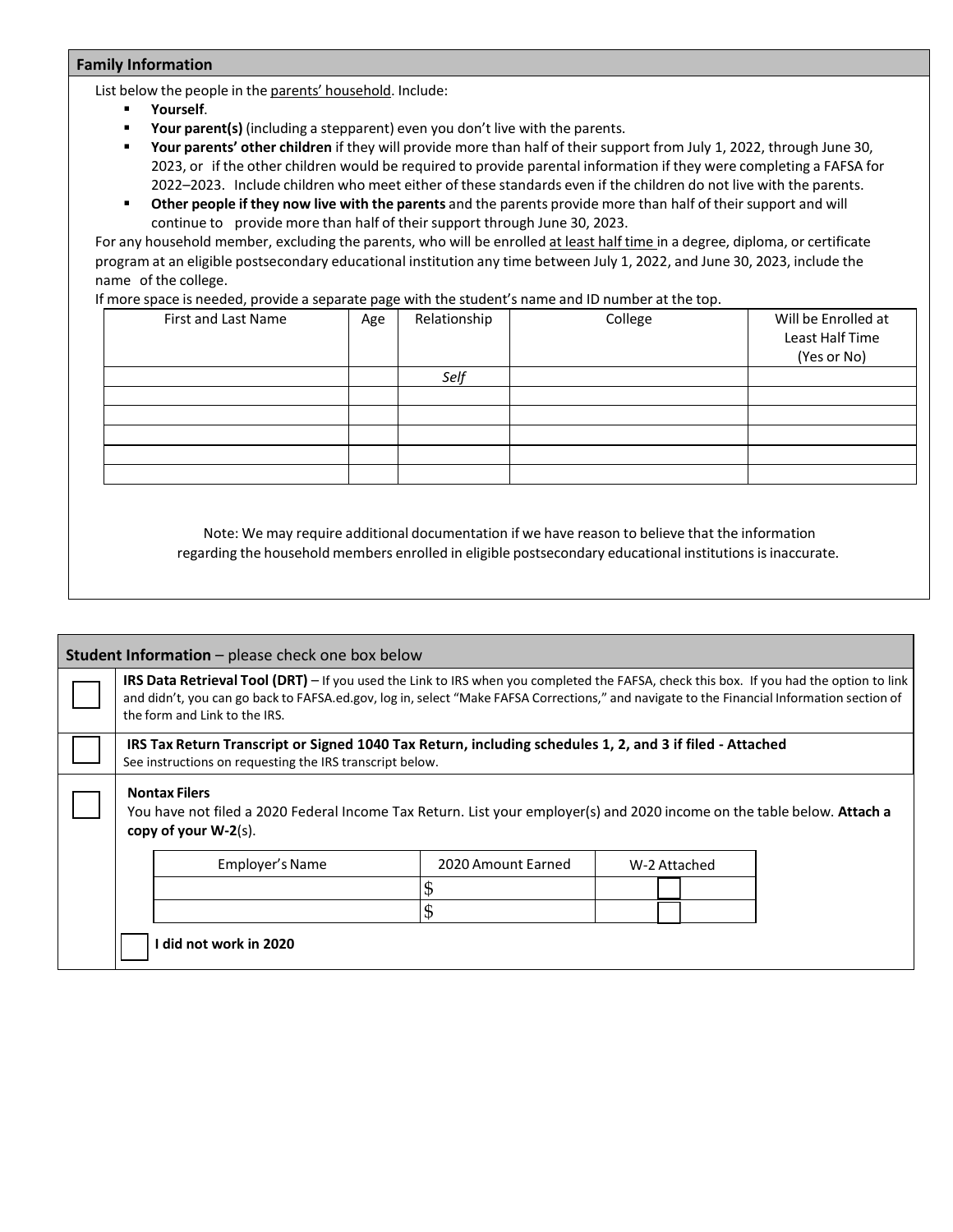## **Family Information**

List below the people in the parents' household. Include:

- **Yourself**.
- **Your parent(s)** (including a stepparent) even you don't live with the parents.
- **Your parents' other children** if they will provide more than half of their support from July 1, 2022, through June 30, 2023, or if the other children would be required to provide parental information if they were completing a FAFSA for 2022–2023. Include children who meet either of these standards even if the children do not live with the parents.
- **Other people if they now live with the parents** and the parents provide more than half of their support and will continue to provide more than half of their support through June 30, 2023.

For any household member, excluding the parents, who will be enrolled at least half time in a degree, diploma, or certificate program at an eligible postsecondary educational institution any time between July 1, 2022, and June 30, 2023, include the name of the college.

If more space is needed, provide a separate page with the student's name and ID number at the top.

| <b>First and Last Name</b> | Age | Relationship | College | Will be Enrolled at<br>Least Half Time<br>(Yes or No) |
|----------------------------|-----|--------------|---------|-------------------------------------------------------|
|                            |     | Self         |         |                                                       |
|                            |     |              |         |                                                       |
|                            |     |              |         |                                                       |
|                            |     |              |         |                                                       |
|                            |     |              |         |                                                       |
|                            |     |              |         |                                                       |

Note: We may require additional documentation if we have reason to believe that the information regarding the household members enrolled in eligible postsecondary educational institutionsisinaccurate.

| <b>Student Information</b> – please check one box below                                                                                                                    |                                                                                                                                                                                                                                                                                                                               |                        |                    |              |  |  |
|----------------------------------------------------------------------------------------------------------------------------------------------------------------------------|-------------------------------------------------------------------------------------------------------------------------------------------------------------------------------------------------------------------------------------------------------------------------------------------------------------------------------|------------------------|--------------------|--------------|--|--|
|                                                                                                                                                                            | <b>IRS Data Retrieval Tool (DRT)</b> – If you used the Link to IRS when you completed the FAFSA, check this box. If you had the option to link<br>and didn't, you can go back to FAFSA.ed.gov, log in, select "Make FAFSA Corrections," and navigate to the Financial Information section of<br>the form and Link to the IRS. |                        |                    |              |  |  |
|                                                                                                                                                                            | IRS Tax Return Transcript or Signed 1040 Tax Return, including schedules 1, 2, and 3 if filed - Attached<br>See instructions on requesting the IRS transcript below.                                                                                                                                                          |                        |                    |              |  |  |
| <b>Nontax Filers</b><br>You have not filed a 2020 Federal Income Tax Return. List your employer(s) and 2020 income on the table below. Attach a<br>copy of your $W-2(s)$ . |                                                                                                                                                                                                                                                                                                                               |                        |                    |              |  |  |
|                                                                                                                                                                            |                                                                                                                                                                                                                                                                                                                               | Employer's Name        | 2020 Amount Earned | W-2 Attached |  |  |
|                                                                                                                                                                            |                                                                                                                                                                                                                                                                                                                               |                        |                    |              |  |  |
|                                                                                                                                                                            |                                                                                                                                                                                                                                                                                                                               |                        | \$                 |              |  |  |
|                                                                                                                                                                            |                                                                                                                                                                                                                                                                                                                               | I did not work in 2020 |                    |              |  |  |